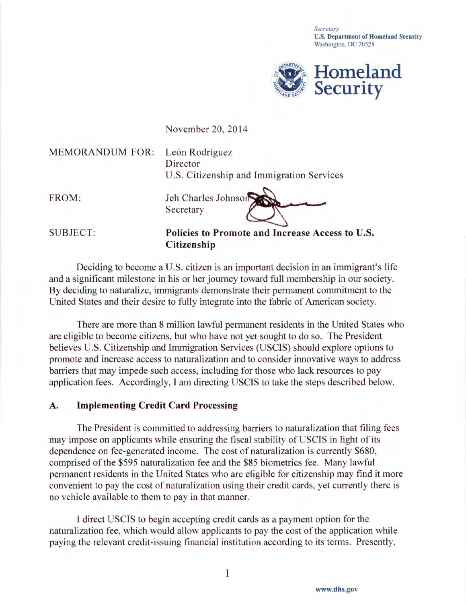*Secretary*  U.S. Department of Homeland Security Washington, DC 20528



November 20, 2014

MEMORANDUM FOR: León Rodríguez

Director U.S. Citizenship and Immigration Services

FROM: Jeh Charles Johnson . . · -.........) Secretary

SUBJECT: Policies to Promote and Increase Access to U.S. Citizenship

Deciding to become a U.S. citizen is an important decision in an immigrant's life and a significant milestone in his or her journey toward full membership in our society. By deciding to naturalize, immigrants demonstrate their permanent commitment to the United States and their desire to fully integrate into the fabric of American society.

There are more than 8 million lawful permanent residents in the United States who are eligible to become citizens, but who have not yet sought to do so. The President believes U.S. Citizenship and Immigration Services (USCIS) should explore options to promote and increase access to naturalization and to consider innovative ways to address barriers that may impede such access, including for those who lack resources to pay application fees. Accordingly, I am directing USCIS to take the steps described below.

## A. Implementing Credit Card Processing

The President is committed to addressing barriers to naturalization that filing fees may impose on applicants while ensuring the fiscal stability of USCIS in light of its dependence on fee-generated income. The cost of naturalization is currently \$680, comprised of the \$595 naturalization fee and the \$85 biometrics fee. Many lawful permanent residents in the United States who are eligible for citizenship may find it more convenient to pay the cost of naturalization using their credit cards, yet currently there is no vehicle available to them to pay in that manner.

I direct USCIS to begin accepting credit cards as a payment option for the naturalization fee, which would allow applicants to pay the cost of the application while paying the relevant credit-issuing financial institution according to its terms. Presently,